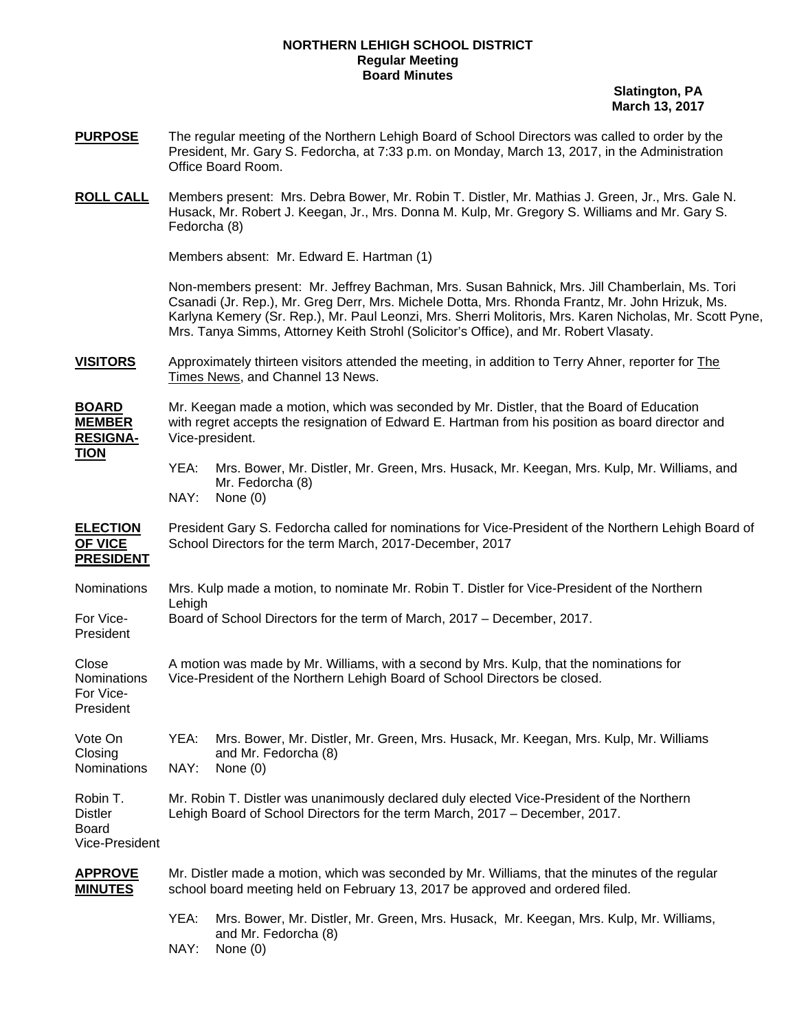#### **NORTHERN LEHIGH SCHOOL DISTRICT Regular Meeting Board Minutes**

 **Slatington, PA March 13, 2017** 

- **PURPOSE** The regular meeting of the Northern Lehigh Board of School Directors was called to order by the President, Mr. Gary S. Fedorcha, at 7:33 p.m. on Monday, March 13, 2017, in the Administration Office Board Room.
- **ROLL CALL** Members present: Mrs. Debra Bower, Mr. Robin T. Distler, Mr. Mathias J. Green, Jr., Mrs. Gale N. Husack, Mr. Robert J. Keegan, Jr., Mrs. Donna M. Kulp, Mr. Gregory S. Williams and Mr. Gary S. Fedorcha (8)

Members absent: Mr. Edward E. Hartman (1)

Non-members present: Mr. Jeffrey Bachman, Mrs. Susan Bahnick, Mrs. Jill Chamberlain, Ms. Tori Csanadi (Jr. Rep.), Mr. Greg Derr, Mrs. Michele Dotta, Mrs. Rhonda Frantz, Mr. John Hrizuk, Ms. Karlyna Kemery (Sr. Rep.), Mr. Paul Leonzi, Mrs. Sherri Molitoris, Mrs. Karen Nicholas, Mr. Scott Pyne, Mrs. Tanya Simms, Attorney Keith Strohl (Solicitor's Office), and Mr. Robert Vlasaty.

**VISITORS** Approximately thirteen visitors attended the meeting, in addition to Terry Ahner, reporter for The Times News, and Channel 13 News.

**BOARD** Mr. Keegan made a motion, which was seconded by Mr. Distler, that the Board of Education **MEMBER** with regret accepts the resignation of Edward E. Hartman from his position as board director and **RESIGNA-** Vice-president.

**TION**

 YEA: Mrs. Bower, Mr. Distler, Mr. Green, Mrs. Husack, Mr. Keegan, Mrs. Kulp, Mr. Williams, and Mr. Fedorcha (8) NAY: None (0)

**ELECTION** President Gary S. Fedorcha called for nominations for Vice-President of the Northern Lehigh Board of **OF VICE** School Directors for the term March, 2017-December, 2017 **PRESIDENT**

- Nominations Mrs. Kulp made a motion, to nominate Mr. Robin T. Distler for Vice-President of the Northern Lehigh
- For Vice- Board of School Directors for the term of March, 2017 December, 2017. President
- Close **A** motion was made by Mr. Williams, with a second by Mrs. Kulp, that the nominations for Nominations Vice-President of the Northern Lehigh Board of School Directors be closed.

For Vice-President

- Vote On YEA: Mrs. Bower, Mr. Distler, Mr. Green, Mrs. Husack, Mr. Keegan, Mrs. Kulp, Mr. Williams Closing and Mr. Fedorcha (8) Nominations NAY: None (0)
- Robin T. Mr. Robin T. Distler was unanimously declared duly elected Vice-President of the Northern Distler Lehigh Board of School Directors for the term March, 2017 – December, 2017.

Board Vice-President

- **APPROVE** Mr. Distler made a motion, which was seconded by Mr. Williams, that the minutes of the regular **MINUTES** school board meeting held on February 13, 2017 be approved and ordered filed.
	- YEA: Mrs. Bower, Mr. Distler, Mr. Green, Mrs. Husack, Mr. Keegan, Mrs. Kulp, Mr. Williams, and Mr. Fedorcha (8)

NAY: None (0)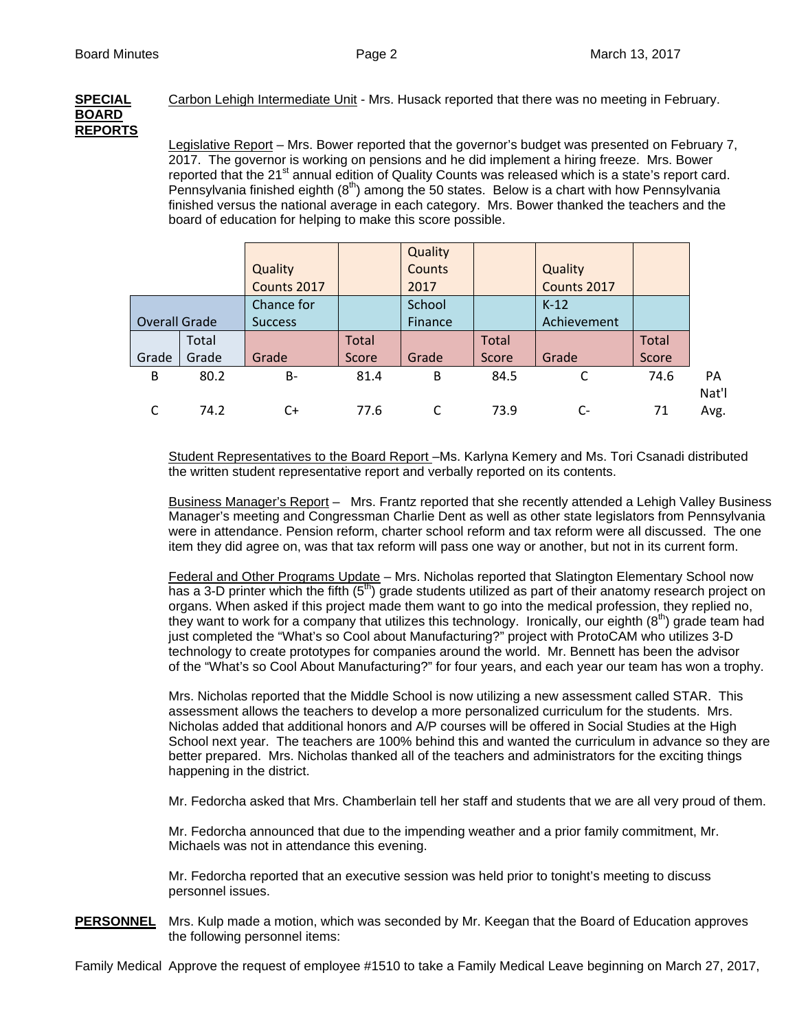# **BOARD REPORTS**

**SPECIAL** Carbon Lehigh Intermediate Unit - Mrs. Husack reported that there was no meeting in February.

 Legislative Report – Mrs. Bower reported that the governor's budget was presented on February 7, 2017. The governor is working on pensions and he did implement a hiring freeze. Mrs. Bower reported that the 21<sup>st</sup> annual edition of Quality Counts was released which is a state's report card. Pennsylvania finished eighth  $(8<sup>th</sup>)$  among the 50 states. Below is a chart with how Pennsylvania finished versus the national average in each category. Mrs. Bower thanked the teachers and the board of education for helping to make this score possible.

|                      |       |                |              | Quality       |              |             |              |       |
|----------------------|-------|----------------|--------------|---------------|--------------|-------------|--------------|-------|
|                      |       | Quality        |              | <b>Counts</b> |              | Quality     |              |       |
|                      |       | Counts 2017    |              | 2017          |              | Counts 2017 |              |       |
|                      |       | Chance for     |              | School        |              | $K-12$      |              |       |
| <b>Overall Grade</b> |       | <b>Success</b> |              | Finance       |              | Achievement |              |       |
|                      | Total |                | <b>Total</b> |               | <b>Total</b> |             | <b>Total</b> |       |
| Grade                | Grade | Grade          | Score        | Grade         | Score        | Grade       | Score        |       |
| B                    | 80.2  | <b>B-</b>      | 81.4         | B             | 84.5         |             | 74.6         | PA    |
|                      |       |                |              |               |              |             |              | Nat'l |
|                      | 74.2  | C+             | 77.6         |               | 73.9         | C-          | 71           | Avg.  |
|                      |       |                |              |               |              |             |              |       |

 Student Representatives to the Board Report –Ms. Karlyna Kemery and Ms. Tori Csanadi distributed the written student representative report and verbally reported on its contents.

Business Manager's Report – Mrs. Frantz reported that she recently attended a Lehigh Valley Business Manager's meeting and Congressman Charlie Dent as well as other state legislators from Pennsylvania were in attendance. Pension reform, charter school reform and tax reform were all discussed. The one item they did agree on, was that tax reform will pass one way or another, but not in its current form.

Federal and Other Programs Update - Mrs. Nicholas reported that Slatington Elementary School now has a 3-D printer which the fifth  $(5<sup>th</sup>)$  grade students utilized as part of their anatomy research project on organs. When asked if this project made them want to go into the medical profession, they replied no, they want to work for a company that utilizes this technology. Ironically, our eighth  $(8<sup>th</sup>)$  grade team had just completed the "What's so Cool about Manufacturing?" project with ProtoCAM who utilizes 3-D technology to create prototypes for companies around the world. Mr. Bennett has been the advisor of the "What's so Cool About Manufacturing?" for four years, and each year our team has won a trophy.

Mrs. Nicholas reported that the Middle School is now utilizing a new assessment called STAR. This assessment allows the teachers to develop a more personalized curriculum for the students. Mrs. Nicholas added that additional honors and A/P courses will be offered in Social Studies at the High School next year. The teachers are 100% behind this and wanted the curriculum in advance so they are better prepared. Mrs. Nicholas thanked all of the teachers and administrators for the exciting things happening in the district.

Mr. Fedorcha asked that Mrs. Chamberlain tell her staff and students that we are all very proud of them.

Mr. Fedorcha announced that due to the impending weather and a prior family commitment, Mr. Michaels was not in attendance this evening.

Mr. Fedorcha reported that an executive session was held prior to tonight's meeting to discuss personnel issues.

**PERSONNEL** Mrs. Kulp made a motion, which was seconded by Mr. Keegan that the Board of Education approves the following personnel items:

Family Medical Approve the request of employee #1510 to take a Family Medical Leave beginning on March 27, 2017,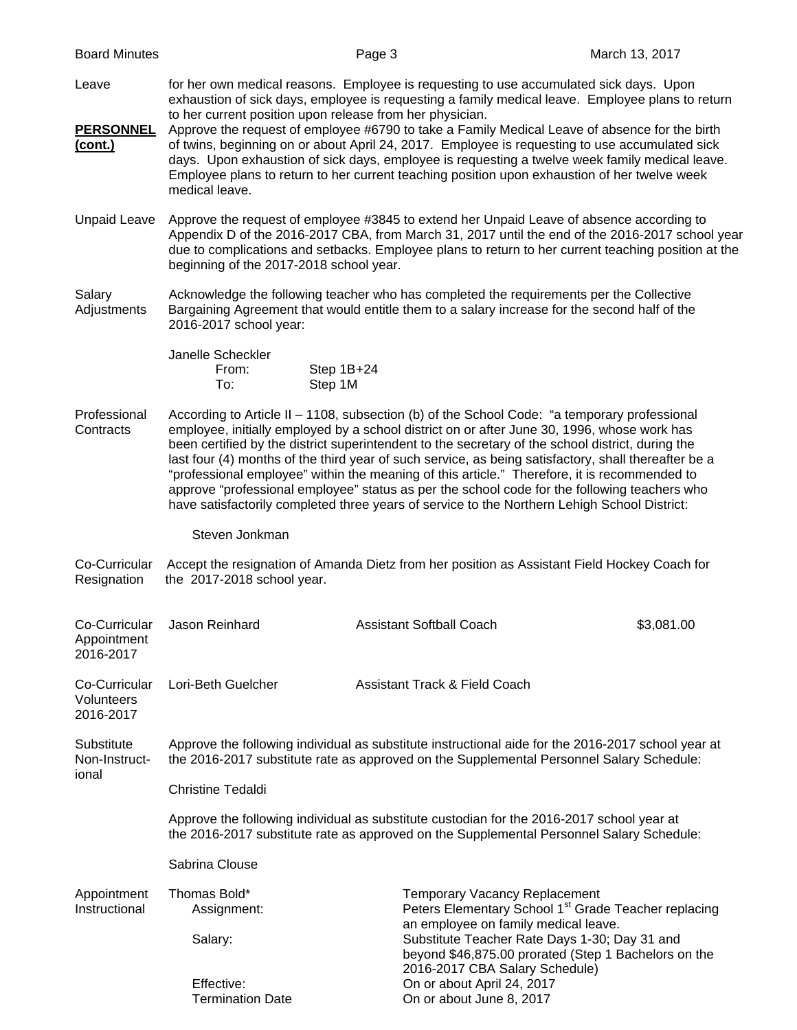| <b>Board Minutes</b>                     |                                                                                                                                                                                                                                                                                                                                                                                                                                                                                                                                                                                                                                                                                                          | Page 3                          | March 13, 2017                                                                                                                                   |  |  |  |  |  |
|------------------------------------------|----------------------------------------------------------------------------------------------------------------------------------------------------------------------------------------------------------------------------------------------------------------------------------------------------------------------------------------------------------------------------------------------------------------------------------------------------------------------------------------------------------------------------------------------------------------------------------------------------------------------------------------------------------------------------------------------------------|---------------------------------|--------------------------------------------------------------------------------------------------------------------------------------------------|--|--|--|--|--|
| Leave<br><b>PERSONNEL</b><br>(cont.)     | for her own medical reasons. Employee is requesting to use accumulated sick days. Upon<br>exhaustion of sick days, employee is requesting a family medical leave. Employee plans to return<br>to her current position upon release from her physician.<br>Approve the request of employee #6790 to take a Family Medical Leave of absence for the birth<br>of twins, beginning on or about April 24, 2017. Employee is requesting to use accumulated sick<br>days. Upon exhaustion of sick days, employee is requesting a twelve week family medical leave.<br>Employee plans to return to her current teaching position upon exhaustion of her twelve week<br>medical leave.                            |                                 |                                                                                                                                                  |  |  |  |  |  |
| <b>Unpaid Leave</b>                      | Approve the request of employee #3845 to extend her Unpaid Leave of absence according to<br>Appendix D of the 2016-2017 CBA, from March 31, 2017 until the end of the 2016-2017 school year<br>due to complications and setbacks. Employee plans to return to her current teaching position at the<br>beginning of the 2017-2018 school year.                                                                                                                                                                                                                                                                                                                                                            |                                 |                                                                                                                                                  |  |  |  |  |  |
| Salary<br>Adjustments                    | Acknowledge the following teacher who has completed the requirements per the Collective<br>Bargaining Agreement that would entitle them to a salary increase for the second half of the<br>2016-2017 school year:                                                                                                                                                                                                                                                                                                                                                                                                                                                                                        |                                 |                                                                                                                                                  |  |  |  |  |  |
|                                          | Janelle Scheckler<br>From:<br>To:                                                                                                                                                                                                                                                                                                                                                                                                                                                                                                                                                                                                                                                                        | Step 1B+24<br>Step 1M           |                                                                                                                                                  |  |  |  |  |  |
| Professional<br>Contracts                | According to Article II - 1108, subsection (b) of the School Code: "a temporary professional<br>employee, initially employed by a school district on or after June 30, 1996, whose work has<br>been certified by the district superintendent to the secretary of the school district, during the<br>last four (4) months of the third year of such service, as being satisfactory, shall thereafter be a<br>"professional employee" within the meaning of this article." Therefore, it is recommended to<br>approve "professional employee" status as per the school code for the following teachers who<br>have satisfactorily completed three years of service to the Northern Lehigh School District: |                                 |                                                                                                                                                  |  |  |  |  |  |
|                                          | Steven Jonkman                                                                                                                                                                                                                                                                                                                                                                                                                                                                                                                                                                                                                                                                                           |                                 |                                                                                                                                                  |  |  |  |  |  |
| Co-Curricular<br>Resignation             | the 2017-2018 school year.                                                                                                                                                                                                                                                                                                                                                                                                                                                                                                                                                                                                                                                                               |                                 | Accept the resignation of Amanda Dietz from her position as Assistant Field Hockey Coach for                                                     |  |  |  |  |  |
| Appointment<br>2016-2017                 | Co-Curricular Jason Reinhard                                                                                                                                                                                                                                                                                                                                                                                                                                                                                                                                                                                                                                                                             | <b>Assistant Softball Coach</b> | \$3,081.00                                                                                                                                       |  |  |  |  |  |
| Co-Curricular<br>Volunteers<br>2016-2017 | <b>Assistant Track &amp; Field Coach</b><br>Lori-Beth Guelcher                                                                                                                                                                                                                                                                                                                                                                                                                                                                                                                                                                                                                                           |                                 |                                                                                                                                                  |  |  |  |  |  |
| Substitute<br>Non-Instruct-<br>ional     | Approve the following individual as substitute instructional aide for the 2016-2017 school year at<br>the 2016-2017 substitute rate as approved on the Supplemental Personnel Salary Schedule:                                                                                                                                                                                                                                                                                                                                                                                                                                                                                                           |                                 |                                                                                                                                                  |  |  |  |  |  |
|                                          | <b>Christine Tedaldi</b>                                                                                                                                                                                                                                                                                                                                                                                                                                                                                                                                                                                                                                                                                 |                                 |                                                                                                                                                  |  |  |  |  |  |
|                                          | Approve the following individual as substitute custodian for the 2016-2017 school year at<br>the 2016-2017 substitute rate as approved on the Supplemental Personnel Salary Schedule:                                                                                                                                                                                                                                                                                                                                                                                                                                                                                                                    |                                 |                                                                                                                                                  |  |  |  |  |  |
|                                          | Sabrina Clouse                                                                                                                                                                                                                                                                                                                                                                                                                                                                                                                                                                                                                                                                                           |                                 |                                                                                                                                                  |  |  |  |  |  |
| Appointment<br>Instructional             | Thomas Bold*<br>Assignment:                                                                                                                                                                                                                                                                                                                                                                                                                                                                                                                                                                                                                                                                              |                                 | <b>Temporary Vacancy Replacement</b><br>Peters Elementary School 1 <sup>st</sup> Grade Teacher replacing<br>an employee on family medical leave. |  |  |  |  |  |
|                                          | Salary:<br>Effective:                                                                                                                                                                                                                                                                                                                                                                                                                                                                                                                                                                                                                                                                                    | On or about April 24, 2017      | Substitute Teacher Rate Days 1-30; Day 31 and<br>beyond \$46,875.00 prorated (Step 1 Bachelors on the<br>2016-2017 CBA Salary Schedule)          |  |  |  |  |  |
|                                          | <b>Termination Date</b>                                                                                                                                                                                                                                                                                                                                                                                                                                                                                                                                                                                                                                                                                  | On or about June 8, 2017        |                                                                                                                                                  |  |  |  |  |  |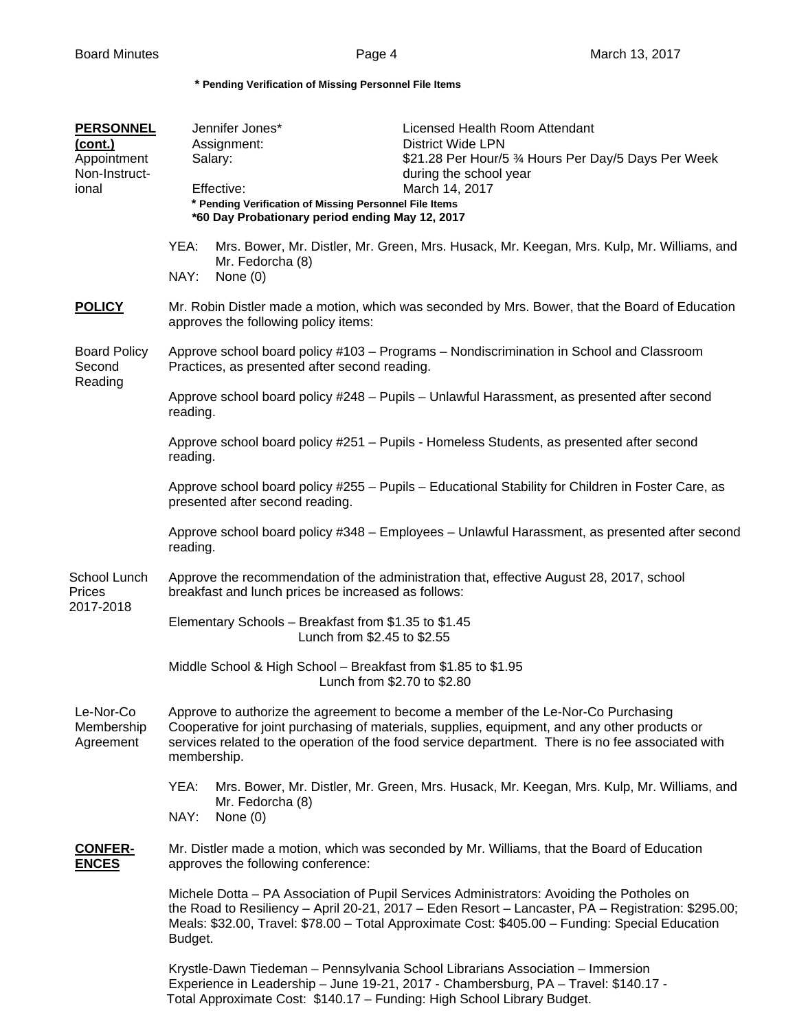**\* Pending Verification of Missing Personnel File Items** 

## **PERSONNEL** Jennifer Jones\* Licensed Health Room Attendant **(cont.)** Assignment: District Wide LPN<br>
Appointment Salary: \$21.28 Per Hour/5 Appointment Salary: \$21.28 Per Hour/5 % Hours Per Day/5 Days Per Week Non-Instruct- during the school year ional Effective: March 14, 2017  **\* Pending Verification of Missing Personnel File Items \*60 Day Probationary period ending May 12, 2017** YEA: Mrs. Bower, Mr. Distler, Mr. Green, Mrs. Husack, Mr. Keegan, Mrs. Kulp, Mr. Williams, and Mr. Fedorcha (8) NAY: None (0) **POLICY** Mr. Robin Distler made a motion, which was seconded by Mrs. Bower, that the Board of Education approves the following policy items: Board Policy Approve school board policy #103 – Programs – Nondiscrimination in School and Classroom Second Practices, as presented after second reading. Reading Approve school board policy #248 – Pupils – Unlawful Harassment, as presented after second reading. Approve school board policy #251 – Pupils - Homeless Students, as presented after second reading. Approve school board policy #255 – Pupils – Educational Stability for Children in Foster Care, as presented after second reading. Approve school board policy #348 – Employees – Unlawful Harassment, as presented after second reading. School Lunch Approve the recommendation of the administration that, effective August 28, 2017, school Prices breakfast and lunch prices be increased as follows: 2017-2018 Elementary Schools – Breakfast from \$1.35 to \$1.45 Lunch from \$2.45 to \$2.55 Middle School & High School – Breakfast from \$1.85 to \$1.95 Lunch from \$2.70 to \$2.80 Le-Nor-Co Approve to authorize the agreement to become a member of the Le-Nor-Co Purchasing Membership Cooperative for joint purchasing of materials, supplies, equipment, and any other products or Agreement services related to the operation of the food service department. There is no fee associated with membership. YEA: Mrs. Bower, Mr. Distler, Mr. Green, Mrs. Husack, Mr. Keegan, Mrs. Kulp, Mr. Williams, and Mr. Fedorcha (8) NAY: None (0) **CONFER-** Mr. Distler made a motion, which was seconded by Mr. Williams, that the Board of Education **ENCES** approves the following conference: Michele Dotta – PA Association of Pupil Services Administrators: Avoiding the Potholes on the Road to Resiliency – April 20-21, 2017 – Eden Resort – Lancaster, PA – Registration: \$295.00; Meals: \$32.00, Travel: \$78.00 – Total Approximate Cost: \$405.00 – Funding: Special Education Budget. Krystle-Dawn Tiedeman – Pennsylvania School Librarians Association – Immersion Experience in Leadership – June 19-21, 2017 - Chambersburg, PA – Travel: \$140.17 - Total Approximate Cost: \$140.17 – Funding: High School Library Budget.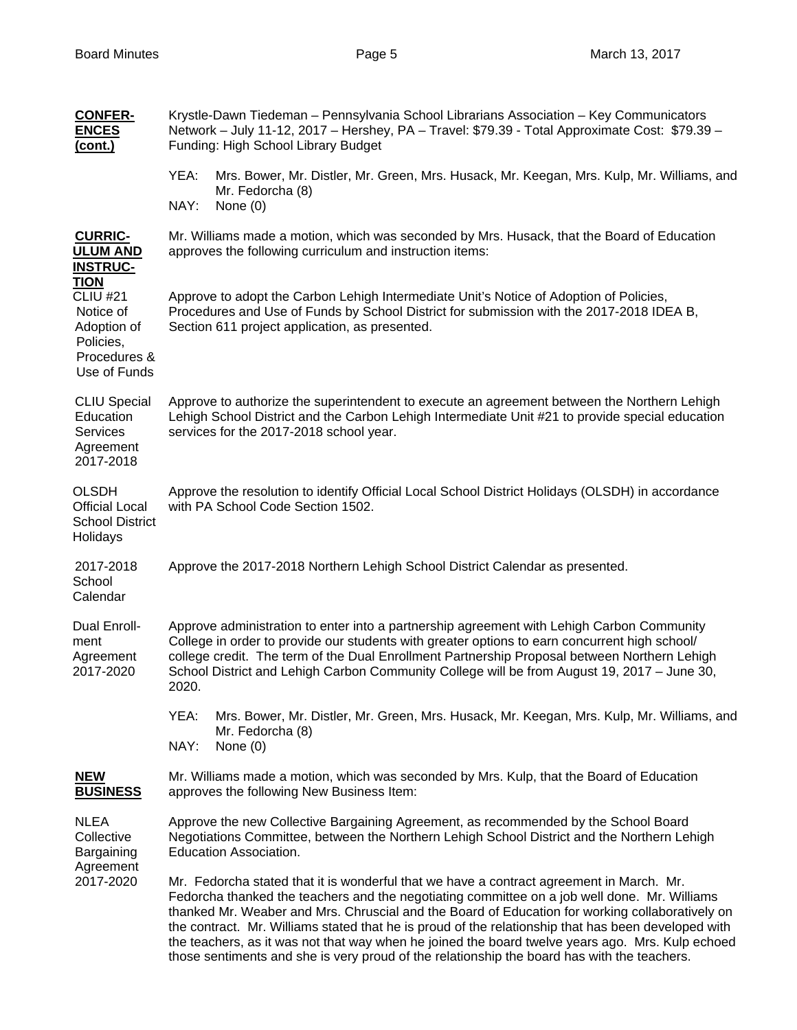|  | <b>CONFER-</b><br><b>ENCES</b><br>(cont.)                                                                                                                       | Krystle-Dawn Tiedeman - Pennsylvania School Librarians Association - Key Communicators<br>Network - July 11-12, 2017 - Hershey, PA - Travel: \$79.39 - Total Approximate Cost: \$79.39 -<br>Funding: High School Library Budget                                                                                                                                                                                                                                                                                                                                                                       |  |  |  |  |
|--|-----------------------------------------------------------------------------------------------------------------------------------------------------------------|-------------------------------------------------------------------------------------------------------------------------------------------------------------------------------------------------------------------------------------------------------------------------------------------------------------------------------------------------------------------------------------------------------------------------------------------------------------------------------------------------------------------------------------------------------------------------------------------------------|--|--|--|--|
|  |                                                                                                                                                                 | YEA:<br>Mrs. Bower, Mr. Distler, Mr. Green, Mrs. Husack, Mr. Keegan, Mrs. Kulp, Mr. Williams, and<br>Mr. Fedorcha (8)<br>NAY:<br>None $(0)$                                                                                                                                                                                                                                                                                                                                                                                                                                                           |  |  |  |  |
|  | <b>CURRIC-</b><br><b>ULUM AND</b><br><b>INSTRUC-</b><br><b>TION</b><br><b>CLIU #21</b><br>Notice of<br>Adoption of<br>Policies,<br>Procedures &<br>Use of Funds | Mr. Williams made a motion, which was seconded by Mrs. Husack, that the Board of Education<br>approves the following curriculum and instruction items:                                                                                                                                                                                                                                                                                                                                                                                                                                                |  |  |  |  |
|  |                                                                                                                                                                 | Approve to adopt the Carbon Lehigh Intermediate Unit's Notice of Adoption of Policies,<br>Procedures and Use of Funds by School District for submission with the 2017-2018 IDEA B,<br>Section 611 project application, as presented.                                                                                                                                                                                                                                                                                                                                                                  |  |  |  |  |
|  | <b>CLIU Special</b><br>Education<br><b>Services</b><br>Agreement<br>2017-2018                                                                                   | Approve to authorize the superintendent to execute an agreement between the Northern Lehigh<br>Lehigh School District and the Carbon Lehigh Intermediate Unit #21 to provide special education<br>services for the 2017-2018 school year.                                                                                                                                                                                                                                                                                                                                                             |  |  |  |  |
|  | <b>OLSDH</b><br><b>Official Local</b><br><b>School District</b><br>Holidays                                                                                     | Approve the resolution to identify Official Local School District Holidays (OLSDH) in accordance<br>with PA School Code Section 1502.                                                                                                                                                                                                                                                                                                                                                                                                                                                                 |  |  |  |  |
|  | 2017-2018<br>School<br>Calendar                                                                                                                                 | Approve the 2017-2018 Northern Lehigh School District Calendar as presented.                                                                                                                                                                                                                                                                                                                                                                                                                                                                                                                          |  |  |  |  |
|  | Dual Enroll-<br>ment<br>Agreement<br>2017-2020                                                                                                                  | Approve administration to enter into a partnership agreement with Lehigh Carbon Community<br>College in order to provide our students with greater options to earn concurrent high school/<br>college credit. The term of the Dual Enrollment Partnership Proposal between Northern Lehigh<br>School District and Lehigh Carbon Community College will be from August 19, 2017 - June 30,<br>2020.                                                                                                                                                                                                    |  |  |  |  |
|  |                                                                                                                                                                 | YEA:<br>Mrs. Bower, Mr. Distler, Mr. Green, Mrs. Husack, Mr. Keegan, Mrs. Kulp, Mr. Williams, and<br>Mr. Fedorcha (8)<br>NAY:<br>None $(0)$                                                                                                                                                                                                                                                                                                                                                                                                                                                           |  |  |  |  |
|  | <b>NEW</b><br><b>BUSINESS</b>                                                                                                                                   | Mr. Williams made a motion, which was seconded by Mrs. Kulp, that the Board of Education<br>approves the following New Business Item:                                                                                                                                                                                                                                                                                                                                                                                                                                                                 |  |  |  |  |
|  | <b>NLEA</b><br>Collective<br>Bargaining<br>Agreement<br>2017-2020                                                                                               | Approve the new Collective Bargaining Agreement, as recommended by the School Board<br>Negotiations Committee, between the Northern Lehigh School District and the Northern Lehigh<br><b>Education Association.</b>                                                                                                                                                                                                                                                                                                                                                                                   |  |  |  |  |
|  |                                                                                                                                                                 | Mr. Fedorcha stated that it is wonderful that we have a contract agreement in March. Mr.<br>Fedorcha thanked the teachers and the negotiating committee on a job well done. Mr. Williams<br>thanked Mr. Weaber and Mrs. Chruscial and the Board of Education for working collaboratively on<br>the contract. Mr. Williams stated that he is proud of the relationship that has been developed with<br>the teachers, as it was not that way when he joined the board twelve years ago. Mrs. Kulp echoed<br>those sentiments and she is very proud of the relationship the board has with the teachers. |  |  |  |  |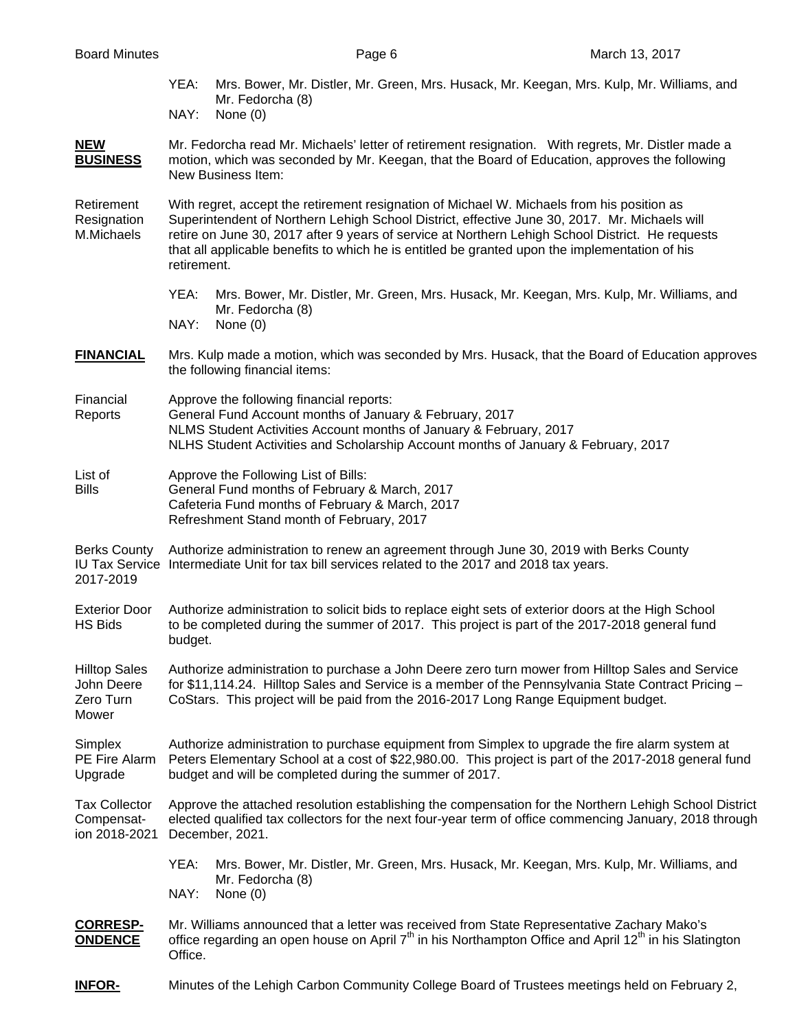- YEA: Mrs. Bower, Mr. Distler, Mr. Green, Mrs. Husack, Mr. Keegan, Mrs. Kulp, Mr. Williams, and Mr. Fedorcha (8)
- NAY: None (0)

#### **NEW** Mr. Fedorcha read Mr. Michaels' letter of retirement resignation. With regrets, Mr. Distler made a **BUSINESS** motion, which was seconded by Mr. Keegan, that the Board of Education, approves the following New Business Item:

Retirement With regret, accept the retirement resignation of Michael W. Michaels from his position as Resignation Superintendent of Northern Lehigh School District, effective June 30, 2017. Mr. Michaels will M.Michaels retire on June 30, 2017 after 9 years of service at Northern Lehigh School District. He requests that all applicable benefits to which he is entitled be granted upon the implementation of his retirement.

> YEA: Mrs. Bower, Mr. Distler, Mr. Green, Mrs. Husack, Mr. Keegan, Mrs. Kulp, Mr. Williams, and Mr. Fedorcha (8)

NAY: None (0)

- **FINANCIAL** Mrs. Kulp made a motion, which was seconded by Mrs. Husack, that the Board of Education approves the following financial items:
- Financial Approve the following financial reports: Reports General Fund Account months of January & February, 2017 NLMS Student Activities Account months of January & February, 2017 NLHS Student Activities and Scholarship Account months of January & February, 2017
- List of **Approve the Following List of Bills:** Bills General Fund months of February & March, 2017 Cafeteria Fund months of February & March, 2017 Refreshment Stand month of February, 2017

Berks County Authorize administration to renew an agreement through June 30, 2019 with Berks County IU Tax Service Intermediate Unit for tax bill services related to the 2017 and 2018 tax years. 2017-2019

Exterior Door Authorize administration to solicit bids to replace eight sets of exterior doors at the High School HS Bids to be completed during the summer of 2017. This project is part of the 2017-2018 general fund budget.

Hilltop Sales Authorize administration to purchase a John Deere zero turn mower from Hilltop Sales and Service John Deere for \$11,114.24. Hilltop Sales and Service is a member of the Pennsylvania State Contract Pricing – Zero Turn CoStars. This project will be paid from the 2016-2017 Long Range Equipment budget. Mower

Simplex Authorize administration to purchase equipment from Simplex to upgrade the fire alarm system at PE Fire Alarm Peters Elementary School at a cost of \$22,980.00. This project is part of the 2017-2018 general fund Upgrade budget and will be completed during the summer of 2017.

Tax Collector Approve the attached resolution establishing the compensation for the Northern Lehigh School District Compensat- elected qualified tax collectors for the next four-year term of office commencing January, 2018 through ion 2018-2021 December, 2021.

> YEA: Mrs. Bower, Mr. Distler, Mr. Green, Mrs. Husack, Mr. Keegan, Mrs. Kulp, Mr. Williams, and Mr. Fedorcha (8) NAY: None (0)

#### **CORRESP-** Mr. Williams announced that a letter was received from State Representative Zachary Mako's **ONDENCE** office regarding an open house on April 7<sup>th</sup> in his Northampton Office and April 12<sup>th</sup> in his Slatington Office.

**INFOR-** Minutes of the Lehigh Carbon Community College Board of Trustees meetings held on February 2,